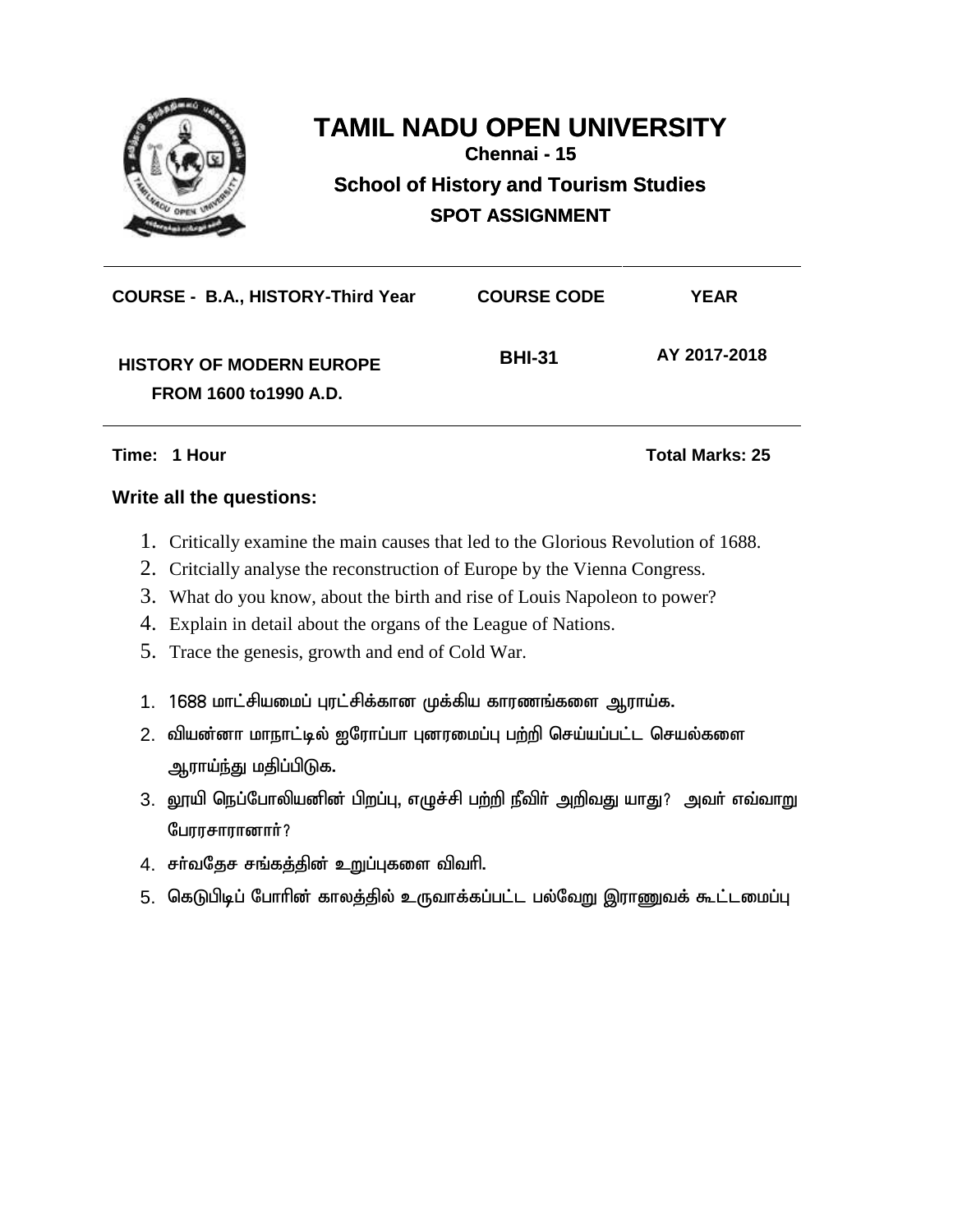

| <b>COURSE - B.A., HISTORY-Third Year</b>                  | <b>COURSE CODE</b> | <b>YEAR</b>  |
|-----------------------------------------------------------|--------------------|--------------|
| <b>HISTORY OF MODERN EUROPE</b><br>FROM 1600 to 1990 A.D. | <b>BHI-31</b>      | AY 2017-2018 |

### **Time: 1 Hour Total Marks: 25**

- 1. Critically examine the main causes that led to the Glorious Revolution of 1688.
- 2. Critcially analyse the reconstruction of Europe by the Vienna Congress.
- 3. What do you know, about the birth and rise of Louis Napoleon to power?
- 4. Explain in detail about the organs of the League of Nations.
- 5. Trace the genesis, growth and end of Cold War.
- 1. 1688 மாட்சியமைப் புரட்சிக்கான முக்கிய காரணங்களை ஆராய்க.
- 2. வியன்னா மாநாட்டில் ஐரோப்பா புனரமைப்பு பற்றி செய்யப்பட்ட செயல்களை ஆராய்ந்து மதிப்பிடுக.
- 3. லூயி நெப்போலியனின் பிறப்பு, எழுச்சி பற்றி நீவிர் அறிவது யாது? அவர் எவ்வாறு பேரரசாரானார்?
- 4. சா்வதேச சங்கத்தின் உறுப்புகளை விவரி.
- 5. கெடுபிடிப் போரின் காலத்தில் உருவாக்கப்பட்ட பல்வேறு இராணுவக் கூட்டமைப்பு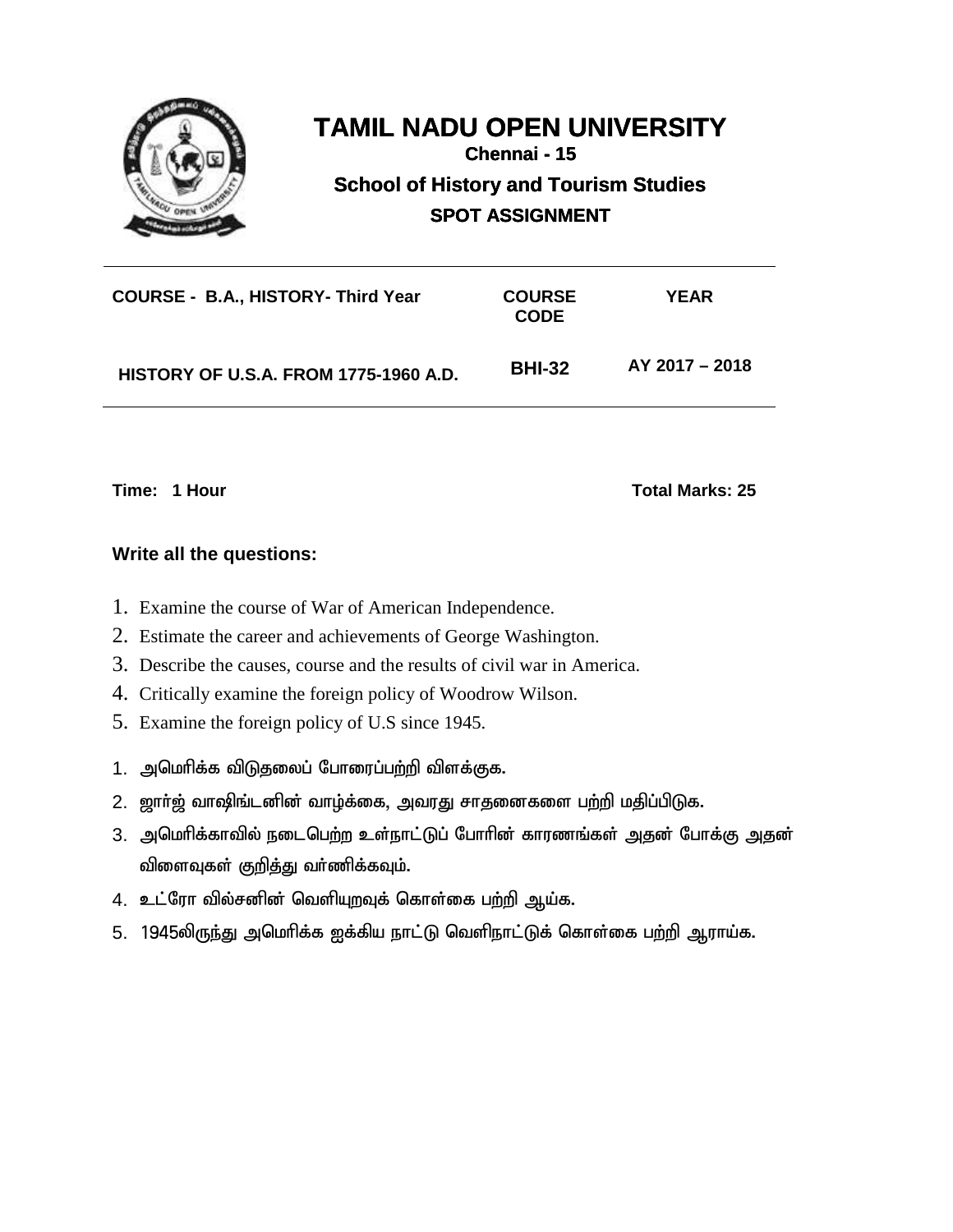

| <b>COURSE - B.A., HISTORY- Third Year</b>    | <b>COURSE</b><br><b>CODE</b> | <b>YEAR</b>      |
|----------------------------------------------|------------------------------|------------------|
| <b>HISTORY OF U.S.A. FROM 1775-1960 A.D.</b> | <b>BHI-32</b>                | $AY$ 2017 - 2018 |

**Time: 1 Hour Total Marks: 25**

- 1. Examine the course of War of American Independence.
- 2. Estimate the career and achievements of George Washington.
- 3. Describe the causes, course and the results of civil war in America.
- 4. Critically examine the foreign policy of Woodrow Wilson.
- 5. Examine the foreign policy of U.S since 1945.
- 1. அமெரிக்க விடுதலைப் போரைப்பற்றி விளக்குக.
- 2. ஜாா்ஜ் வாஷிங்டனின் வாழ்க்கை, அவரது சாதனைகளை பற்றி மதிப்பிடுக.
- 3. அமெரிக்காவில் நடைபெற்ற உள்நாட்டுப் போரின் காரணங்கள் அதன் போக்கு அதன் விளைவுகள் <u>குறித்து</u> வா்ணிக்கவும்.
- 4. உட்ரோ வில்சனின் வெளியுறவுக் கொள்கை பற்றி ஆய்க.
- 5. 1945லிருந்து அமெரிக்க ஐக்கிய நாட்டு வெளிநாட்டுக் கொள்கை பற்றி ஆராய்க.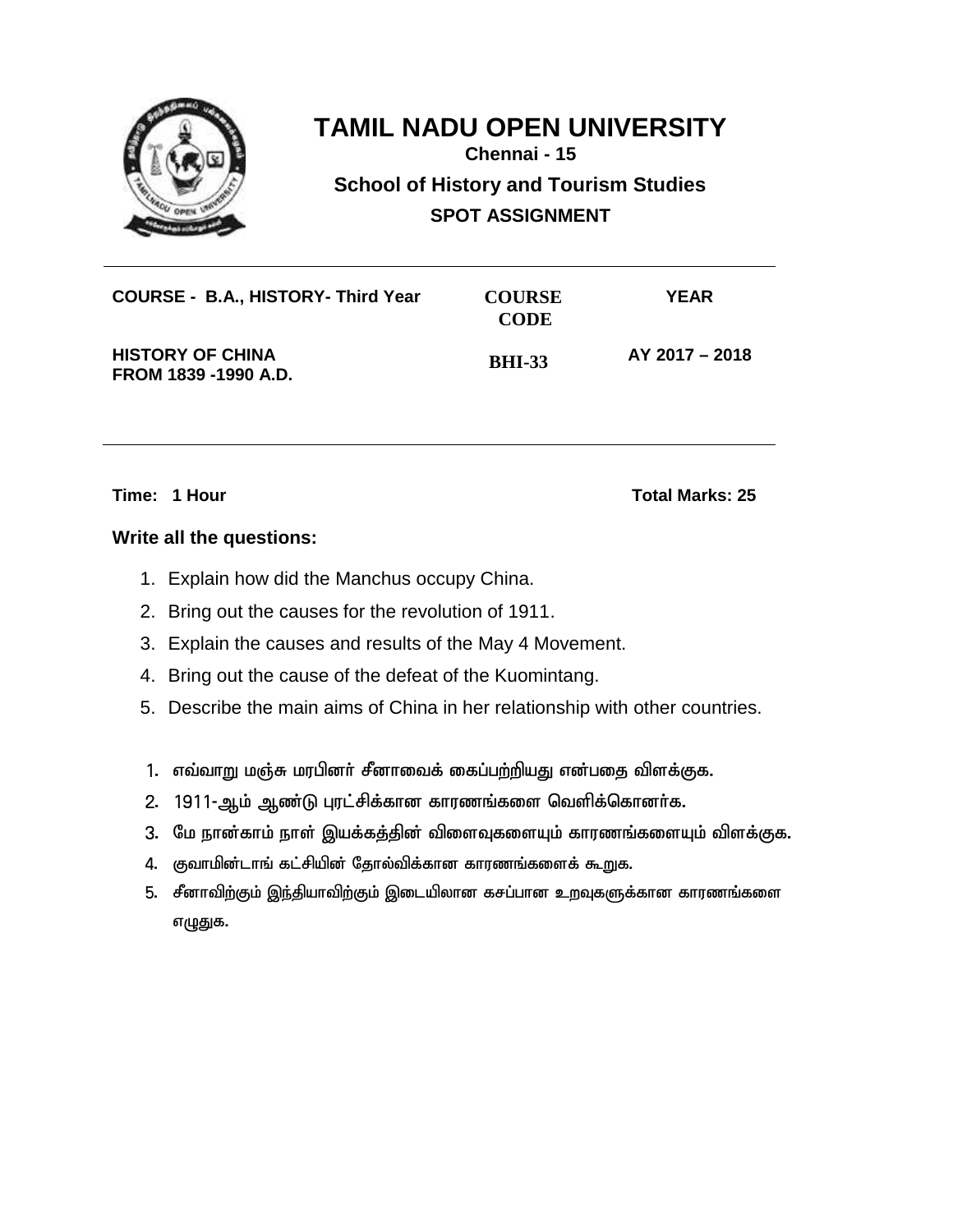

| COURSE - B.A., HISTORY- Third Year              | <b>COURSE</b><br><b>CODE</b> | <b>YEAR</b>    |
|-------------------------------------------------|------------------------------|----------------|
| <b>HISTORY OF CHINA</b><br>FROM 1839 -1990 A.D. | <b>BHI-33</b>                | AY 2017 - 2018 |

**Time: 1 Hour Total Marks: 25**

- 1. Explain how did the Manchus occupy China.
- 2. Bring out the causes for the revolution of 1911.
- 3. Explain the causes and results of the May 4 Movement.
- 4. Bring out the cause of the defeat of the Kuomintang.
- 5. Describe the main aims of China in her relationship with other countries.
- 1. எவ்வாறு மஞ்சு மரபினர் சீனாவைக் கைப்பற்றியது என்பதை விளக்குக.
- 2. 1911-ஆம் ஆண்டு புரட்சிக்கான காரணங்களை வெளிக்கொனர்க.
- 3. மே நான்காம் நாள் இயக்கத்தின் விளைவுகளையும் காரணங்களையும் விளக்குக.
- 4. குவாமின்டாங் கட்சியின் தோல்விக்கான காரணங்களைக் கூறுக.
- 5. சீனாவிற்கும் இந்தியாவிற்கும் இடையிலான கசப்பான உறவுகளுக்கான காரணங்களை எழுதுக.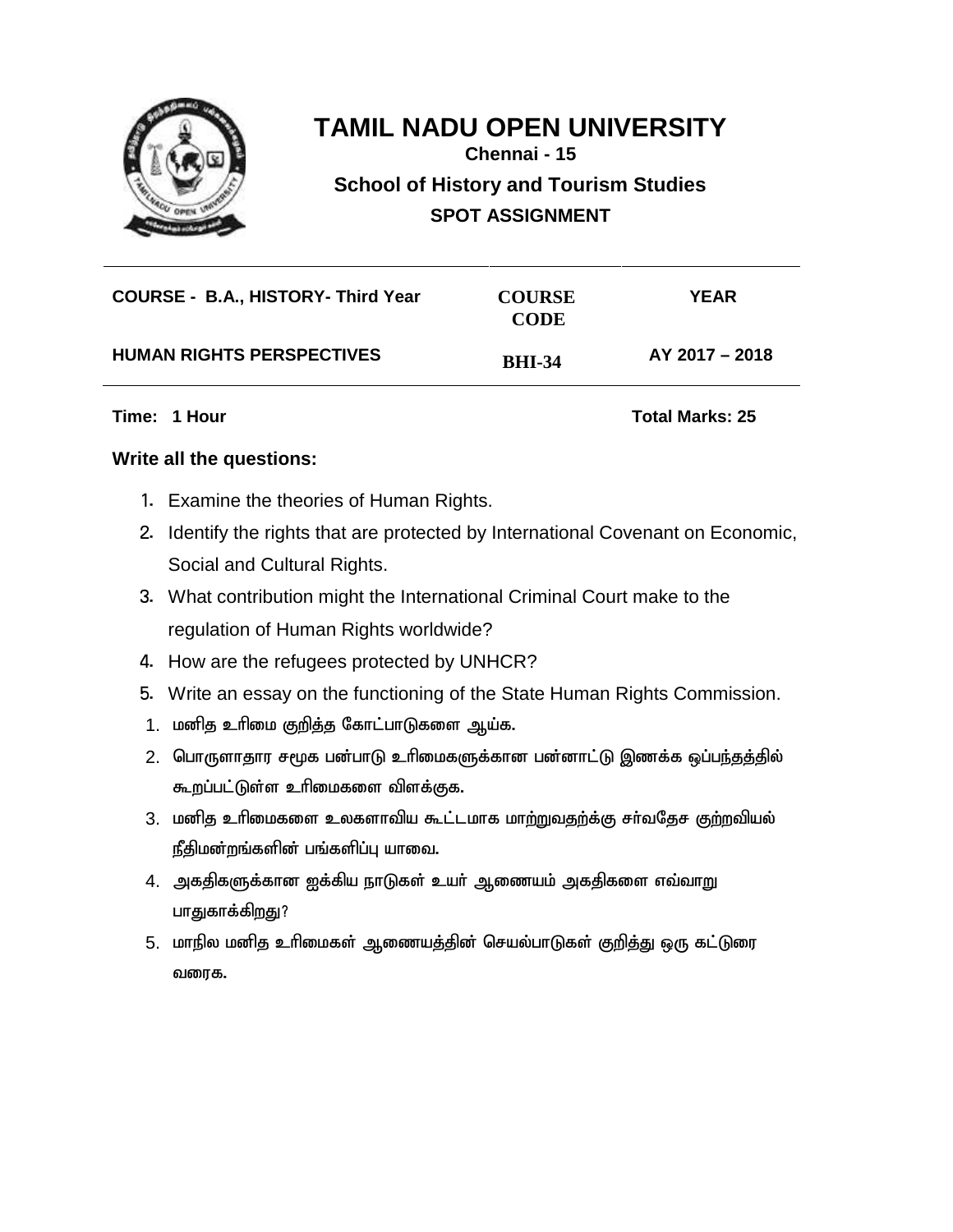

| <b>COURSE - B.A., HISTORY- Third Year</b> | <b>COURSE</b><br><b>CODE</b> | <b>YEAR</b>      |
|-------------------------------------------|------------------------------|------------------|
| <b>HUMAN RIGHTS PERSPECTIVES</b>          | <b>RHI-34</b>                | $AY$ 2017 - 2018 |

**Time: 1 Hour Total Marks: 25**

- 1. Examine the theories of Human Rights.
- 2. Identify the rights that are protected by International Covenant on Economic, Social and Cultural Rights.
- 3. What contribution might the International Criminal Court make to the regulation of Human Rights worldwide?
- 4. How are the refugees protected by UNHCR?
- 5. Write an essay on the functioning of the State Human Rights Commission.
- 1. மனித உரிமை குறித்த கோட்பாடுகளை ஆய்க.
- 2. பொருளாதார சமூக பன்பாடு உரிமைகளுக்கான பன்னாட்டு இணக்க ஒப்பந்தத்தில் கூறப்பட்டுள்ள உரிமைகளை விளக்குக.
- 3. மனித உரிமைகளை உலகளாவிய கூட்டமாக மாற்றுவதற்க்கு சர்வதேச குற்றவியல் நீதிமன்றங்களின் பங்களிப்பு யாவை.
- 4. அகதிகளுக்கான ஐக்கிய நாடுகள் உயர் ஆணையம் அகதிகளை எவ்வாறு பாதுகாக்கிறது?
- 5. மாநில மனித உரிமைகள் ஆணையத்தின் செயல்பாடுகள் குறித்து ஒரு கட்டுரை வரைக.